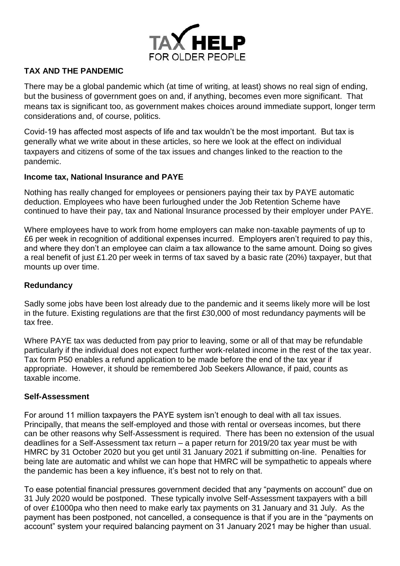

# **TAX AND THE PANDEMIC**

There may be a global pandemic which (at time of writing, at least) shows no real sign of ending, but the business of government goes on and, if anything, becomes even more significant. That means tax is significant too, as government makes choices around immediate support, longer term considerations and, of course, politics.

Covid-19 has affected most aspects of life and tax wouldn't be the most important. But tax is generally what we write about in these articles, so here we look at the effect on individual taxpayers and citizens of some of the tax issues and changes linked to the reaction to the pandemic.

## **Income tax, National Insurance and PAYE**

Nothing has really changed for employees or pensioners paying their tax by PAYE automatic deduction. Employees who have been furloughed under the Job Retention Scheme have continued to have their pay, tax and National Insurance processed by their employer under PAYE.

Where employees have to work from home employers can make non-taxable payments of up to £6 per week in recognition of additional expenses incurred. Employers aren't required to pay this, and where they don't an employee can claim a tax allowance to the same amount. Doing so gives a real benefit of just £1.20 per week in terms of tax saved by a basic rate (20%) taxpayer, but that mounts up over time.

# **Redundancy**

Sadly some jobs have been lost already due to the pandemic and it seems likely more will be lost in the future. Existing regulations are that the first £30,000 of most redundancy payments will be tax free.

Where PAYE tax was deducted from pay prior to leaving, some or all of that may be refundable particularly if the individual does not expect further work-related income in the rest of the tax year. Tax form P50 enables a refund application to be made before the end of the tax year if appropriate. However, it should be remembered Job Seekers Allowance, if paid, counts as taxable income.

#### **Self-Assessment**

For around 11 million taxpayers the PAYE system isn't enough to deal with all tax issues. Principally, that means the self-employed and those with rental or overseas incomes, but there can be other reasons why Self-Assessment is required. There has been no extension of the usual deadlines for a Self-Assessment tax return – a paper return for 2019/20 tax year must be with HMRC by 31 October 2020 but you get until 31 January 2021 if submitting on-line. Penalties for being late are automatic and whilst we can hope that HMRC will be sympathetic to appeals where the pandemic has been a key influence, it's best not to rely on that.

To ease potential financial pressures government decided that any "payments on account" due on 31 July 2020 would be postponed. These typically involve Self-Assessment taxpayers with a bill of over £1000pa who then need to make early tax payments on 31 January and 31 July. As the payment has been postponed, not cancelled, a consequence is that if you are in the "payments on account" system your required balancing payment on 31 January 2021 may be higher than usual.